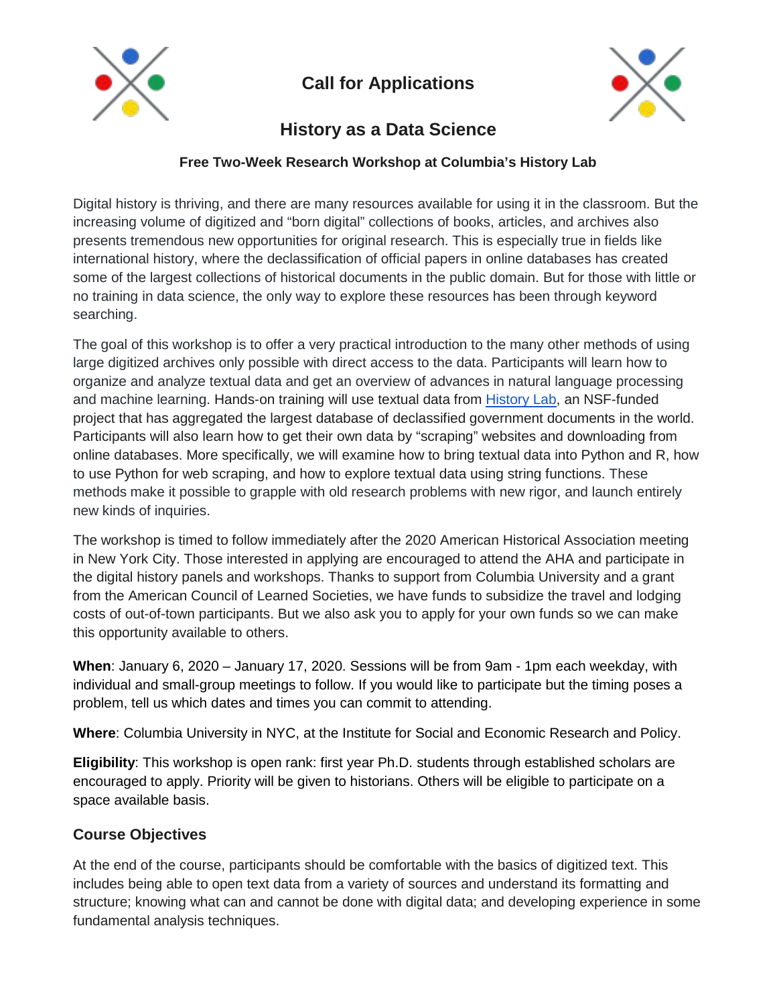

# **Call for Applications**



# **History as a Data Science**

#### **Free Two-Week Research Workshop at Columbia's History Lab**

Digital history is thriving, and there are many resources available for using it in the classroom. But the increasing volume of digitized and "born digital" collections of books, articles, and archives also presents tremendous new opportunities for original research. This is especially true in fields like international history, where the declassification of official papers in online databases has created some of the largest collections of historical documents in the public domain. But for those with little or no training in data science, the only way to explore these resources has been through keyword searching.

The goal of this workshop is to offer a very practical introduction to the many other methods of using large digitized archives only possible with direct access to the data. Participants will learn how to organize and analyze textual data and get an overview of advances in natural language processing and machine learning. Hands-on training will use textual data from [History Lab,](http://history-lab.org/) an NSF-funded project that has aggregated the largest database of declassified government documents in the world. Participants will also learn how to get their own data by "scraping" websites and downloading from online databases. More specifically, we will examine how to bring textual data into Python and R, how to use Python for web scraping, and how to explore textual data using string functions. These methods make it possible to grapple with old research problems with new rigor, and launch entirely new kinds of inquiries.

The workshop is timed to follow immediately after the 2020 American Historical Association meeting in New York City. Those interested in applying are encouraged to attend the AHA and participate in the digital history panels and workshops. Thanks to support from Columbia University and a grant from the American Council of Learned Societies, we have funds to subsidize the travel and lodging costs of out-of-town participants. But we also ask you to apply for your own funds so we can make this opportunity available to others.

**When**: January 6, 2020 – January 17, 2020. Sessions will be from 9am - 1pm each weekday, with individual and small-group meetings to follow. If you would like to participate but the timing poses a problem, tell us which dates and times you can commit to attending.

**Where**: Columbia University in NYC, at the Institute for Social and Economic Research and Policy.

**Eligibility**: This workshop is open rank: first year Ph.D. students through established scholars are encouraged to apply. Priority will be given to historians. Others will be eligible to participate on a space available basis.

#### **Course Objectives**

At the end of the course, participants should be comfortable with the basics of digitized text. This includes being able to open text data from a variety of sources and understand its formatting and structure; knowing what can and cannot be done with digital data; and developing experience in some fundamental analysis techniques.